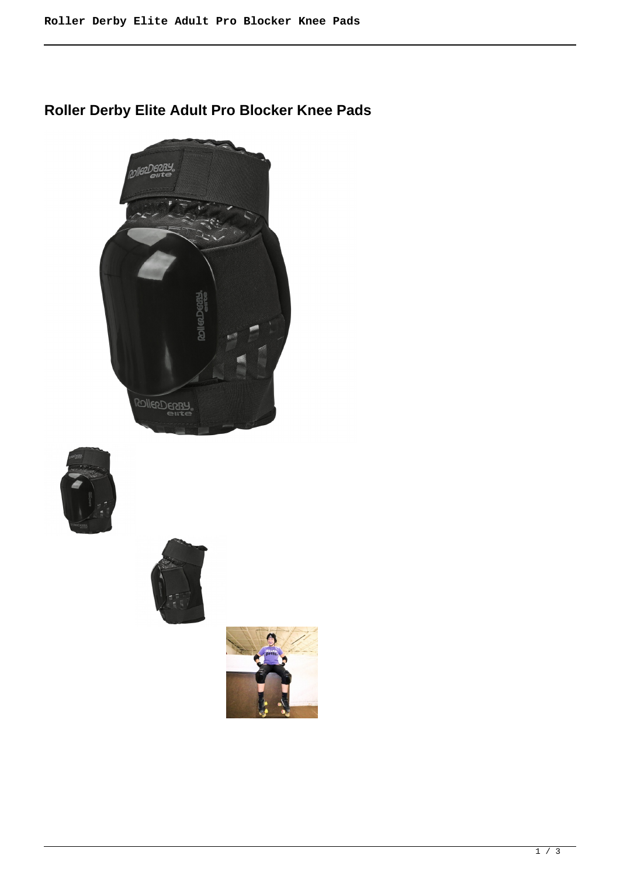**Roller Derby Elite Adult Pro Blocker Knee Pads**







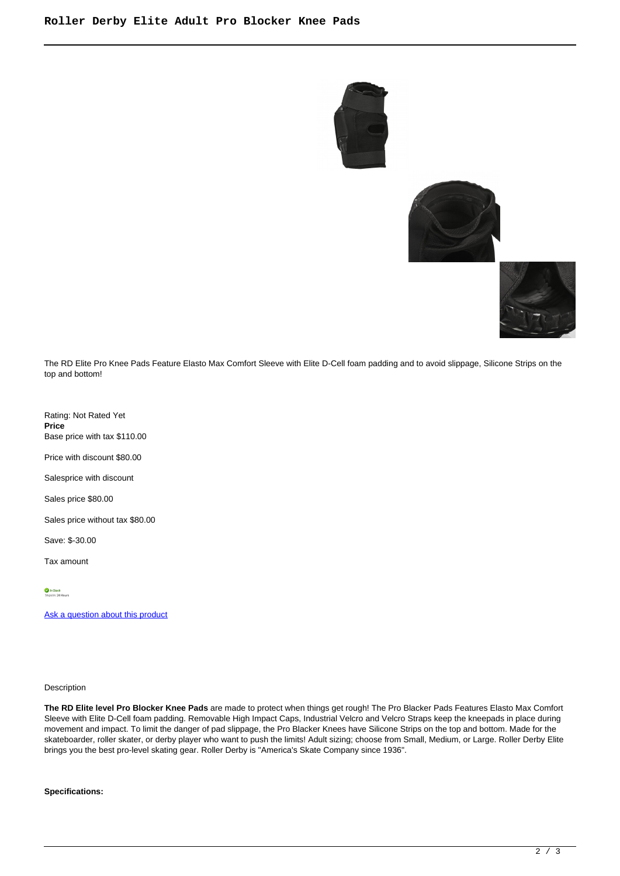





The RD Elite Pro Knee Pads Feature Elasto Max Comfort Sleeve with Elite D-Cell foam padding and to avoid slippage, Silicone Strips on the top and bottom!

Rating: Not Rated Yet **Price**  Base price with tax \$110.00

Price with discount \$80.00

Salesprice with discount

Sales price \$80.00

Sales price without tax \$80.00

Save: \$-30.00

Tax amount

[Ask a question about this product](https://rollerskatin.ca/index.php?option=com_virtuemart&view=productdetails&task=askquestion&virtuemart_product_id=1173&virtuemart_category_id=40&tmpl=component)

## Description

**The RD Elite level Pro Blocker Knee Pads** are made to protect when things get rough! The Pro Blacker Pads Features Elasto Max Comfort Sleeve with Elite D-Cell foam padding. Removable High Impact Caps, Industrial Velcro and Velcro Straps keep the kneepads in place during movement and impact. To limit the danger of pad slippage, the Pro Blacker Knees have Silicone Strips on the top and bottom. Made for the skateboarder, roller skater, or derby player who want to push the limits! Adult sizing; choose from Small, Medium, or Large. Roller Derby Elite brings you the best pro-level skating gear. Roller Derby is "America's Skate Company since 1936".

**Specifications:**